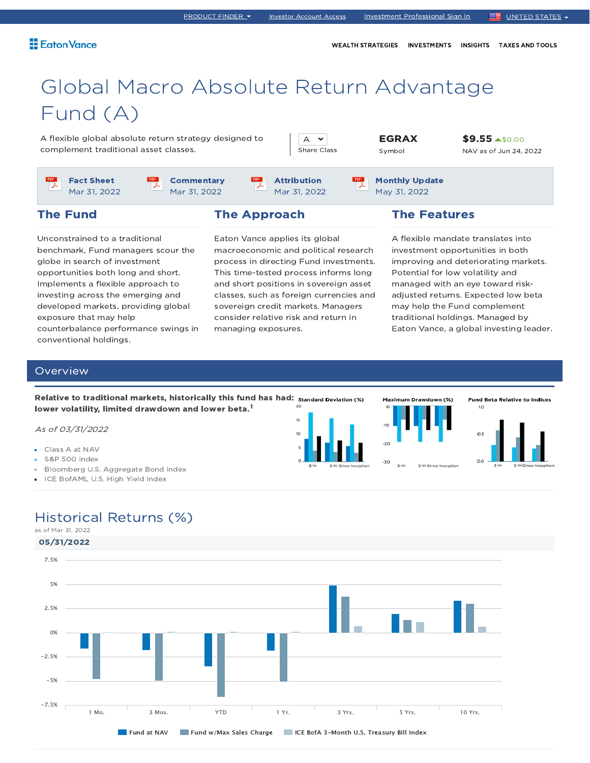PRODUCT FINDER  $\blacktriangleright$  Investor Account Access Investment Professional Sign In UNITED STATES  $\blacktriangleright$ 

WEALTH STRATEGIES INVESTMENTS INSIGHTS TAXES AND TOOLS

# Global Macro Absolute Return Advantage Fund (A)

A flexible global absolute return strategy designed to complement traditional asset classes.

A  $\sim$ Share Class

EGRAX Symbol

Monthly Update May 31, 2022

\$9.55 \$0.00 NAV as of Jun 24, 2022

Fact Sheet Mar 31, 2022

The Fund

**Commentary** Mar 31, 2022

lower volatility, limited drawdown and lower beta.<sup>1</sup>

Relative to traditional markets, historically this fund has had: Standard Deviation (%)

### The Approach

PDF

Unconstrained to a traditional benchmark, Fund managers scour the globe in search of investment opportunities both long and short. Implements a flexible approach to investing across the emerging and developed markets, providing global exposure that may help counterbalance performance swings in conventional holdings.

Eaton Vance applies its global macroeconomic and political research process in directing Fund investments. This time-tested process informs long and short positions in sovereign asset classes, such as foreign currencies and sovereign credit markets. Managers consider relative risk and return in managing exposures.

Attribution Mar 31, 2022

The Features

Maximum Drawdown (%)

A flexible mandate translates into investment opportunities in both improving and deteriorating markets. Potential for low volatility and managed with an eye toward riskadjusted returns. Expected low beta may help the Fund complement traditional holdings. Managed by Eaton Vance, a global investing leader.

**Fund Beta Relative to Indices** 

#### **Overview**

As of 03/31/2022

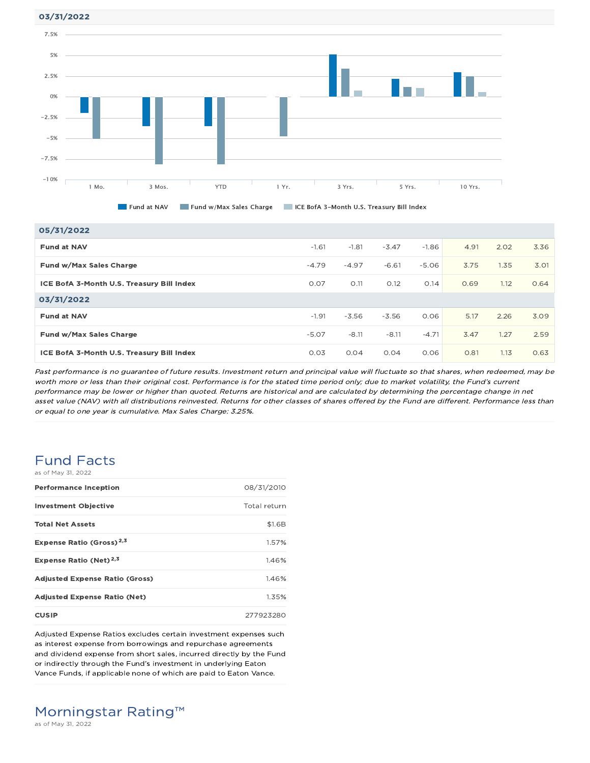03/31/2022



Fund at NAV Fund w/Max Sales Charge ICE BofA 3-Month U.S. Treasury Bill Index

| 05/31/2022                                |         |         |         |         |      |      |      |
|-------------------------------------------|---------|---------|---------|---------|------|------|------|
| <b>Fund at NAV</b>                        | $-1.61$ | $-1.81$ | $-3.47$ | $-1.86$ | 4.91 | 2.02 | 3.36 |
| Fund w/Max Sales Charge                   | $-4.79$ | $-4.97$ | $-6.61$ | $-5.06$ | 3.75 | 1.35 | 3.01 |
| ICE BofA 3-Month U.S. Treasury Bill Index | 0.07    | O.11    | 0.12    | O.14    | 0.69 | 1.12 | 0.64 |
| 03/31/2022                                |         |         |         |         |      |      |      |
| <b>Fund at NAV</b>                        | $-1.91$ | $-3.56$ | $-3.56$ | 0.06    | 5.17 | 2.26 | 3.09 |
| Fund w/Max Sales Charge                   | $-5.07$ | $-8.11$ | $-8.11$ | $-4.71$ | 3.47 | 1.27 | 2.59 |
| ICE BofA 3-Month U.S. Treasury Bill Index | 0.03    | 0.04    | 0.04    | 0.06    | 0.81 | 1.13 | 0.63 |

Past performance is no guarantee of future results. Investment return and principal value will fluctuate so that shares, when redeemed, may be worth more or less than their original cost. Performance is for the stated time period only; due to market volatility, the Fund's current performance may be lower or higher than quoted. Returns are historical and are calculated by determining the percentage change in net asset value (NAV) with all distributions reinvested. Returns for other classes of shares offered by the Fund are different. Performance less than or equal to one year is cumulative. Max Sales Charge: 3.25%.

### Fund Facts as of May 31, 2022

| <b>Performance Inception</b>          | 08/31/2010   |
|---------------------------------------|--------------|
| <b>Investment Objective</b>           | Total return |
| <b>Total Net Assets</b>               | \$1.6B       |
| Expense Ratio (Gross) <sup>2,3</sup>  | 1.57%        |
| Expense Ratio (Net) <sup>2,3</sup>    | 1.46%        |
| <b>Adjusted Expense Ratio (Gross)</b> | 1.46%        |
| <b>Adjusted Expense Ratio (Net)</b>   | 1.35%        |
| <b>CUSIP</b>                          | 277923280    |

Adjusted Expense Ratios excludes certain investment expenses such as interest expense from borrowings and repurchase agreements and dividend expense from short sales, incurred directly by the Fund or indirectly through the Fund's investment in underlying Eaton Vance Funds, if applicable none of which are paid to Eaton Vance.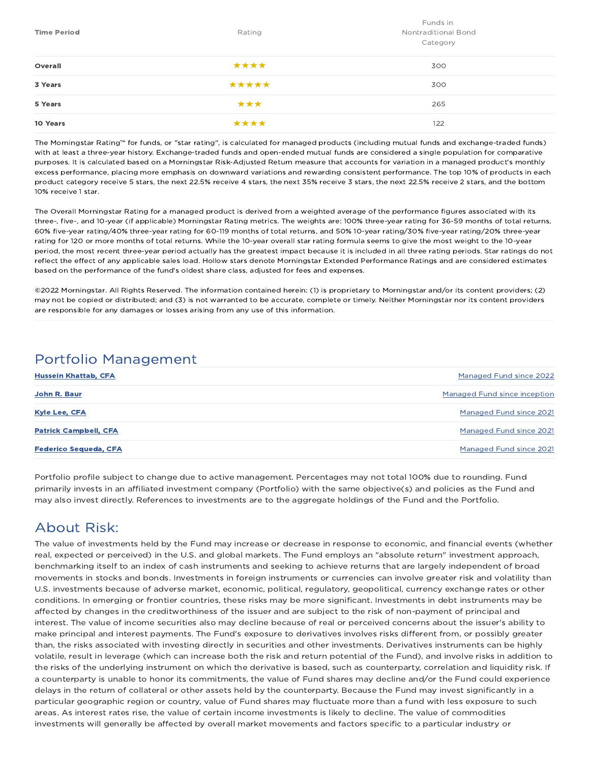| <b>Time Period</b> | Rating | Funds in<br>Nontraditional Bond<br>Category |
|--------------------|--------|---------------------------------------------|
| Overall            | ****   | 300                                         |
| 3 Years            | *****  | 300                                         |
| 5 Years            | ***    | 265                                         |
| 10 Years           | ****   | 122                                         |

The Morningstar Rating™ for funds, or "star rating", is calculated for managed products (including mutual funds and exchange-traded funds) with at least a three-year history. Exchange-traded funds and open-ended mutual funds are considered a single population for comparative purposes. It is calculated based on a Morningstar Risk-Adjusted Return measure that accounts for variation in a managed product's monthly excess performance, placing more emphasis on downward variations and rewarding consistent performance. The top 10% of products in each product category receive 5 stars, the next 22.5% receive 4 stars, the next 35% receive 3 stars, the next 22.5% receive 2 stars, and the bottom 10% receive 1 star.

The Overall Morningstar Rating for a managed product is derived from a weighted average of the performance figures associated with its three-, five-, and 10-year (if applicable) Morningstar Rating metrics. The weights are: 100% three-year rating for 36-59 months of total returns, 60% five-year rating/40% three-year rating for 60-119 months of total returns, and 50% 10-year rating/30% five-year rating/20% three-year rating for 120 or more months of total returns. While the 10-year overall star rating formula seems to give the most weight to the 10-year period, the most recent three-year period actually has the greatest impact because it is included in all three rating periods. Star ratings do not reflect the effect of any applicable sales load. Hollow stars denote Morningstar Extended Performance Ratings and are considered estimates based on the performance of the fund's oldest share class, adjusted for fees and expenses.

©2022 Morningstar. All Rights Reserved. The information contained herein: (1) is proprietary to Morningstar and/or its content providers; (2) may not be copied or distributed; and (3) is not warranted to be accurate, complete or timely. Neither Morningstar nor its content providers are responsible for any damages or losses arising from any use of this information.

## Portfolio Management

| <b>Hussein Khattab, CFA</b>  | <b>Managed Fund since 2022</b> |
|------------------------------|--------------------------------|
| John R. Baur                 | Managed Fund since inception   |
| <b>Kyle Lee, CFA</b>         | Managed Fund since 2021        |
| <b>Patrick Campbell, CFA</b> | Managed Fund since 2021        |
| <b>Federico Sequeda, CFA</b> | Managed Fund since 2021        |

Portfolio profile subject to change due to active management. Percentages may not total 100% due to rounding. Fund primarily invests in an affiliated investment company (Portfolio) with the same objective(s) and policies as the Fund and may also invest directly. References to investments are to the aggregate holdings of the Fund and the Portfolio.

## About Risk:

The value of investments held by the Fund may increase or decrease in response to economic, and financial events (whether real, expected or perceived) in the U.S. and global markets. The Fund employs an "absolute return" investment approach, benchmarking itself to an index of cash instruments and seeking to achieve returns that are largely independent of broad movements in stocks and bonds. Investments in foreign instruments or currencies can involve greater risk and volatility than U.S. investments because of adverse market, economic, political, regulatory, geopolitical, currency exchange rates or other conditions. In emerging or frontier countries, these risks may be more significant. Investments in debt instruments may be affected by changes in the creditworthiness of the issuer and are subject to the risk of non-payment of principal and interest. The value of income securities also may decline because of real or perceived concerns about the issuer's ability to make principal and interest payments. The Fund's exposure to derivatives involves risks different from, or possibly greater than, the risks associated with investing directly in securities and other investments. Derivatives instruments can be highly volatile, result in leverage (which can increase both the risk and return potential of the Fund), and involve risks in addition to the risks of the underlying instrument on which the derivative is based, such as counterparty, correlation and liquidity risk. If a counterparty is unable to honor its commitments, the value of Fund shares may decline and/or the Fund could experience delays in the return of collateral or other assets held by the counterparty. Because the Fund may invest significantly in a particular geographic region or country, value of Fund shares may fluctuate more than a fund with less exposure to such areas. As interest rates rise, the value of certain income investments is likely to decline. The value of commodities investments will generally be affected by overall market movements and factors specific to a particular industry or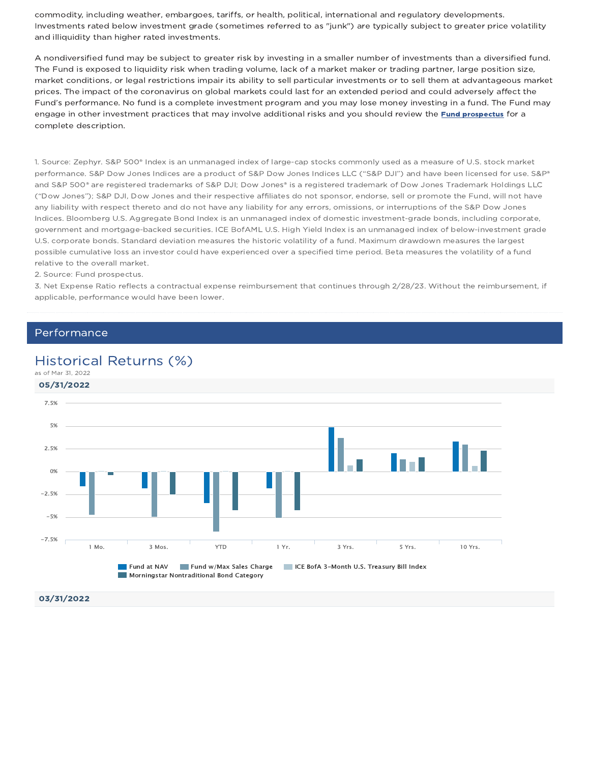commodity, including weather, embargoes, tariffs, or health, political, international and regulatory developments. Investments rated below investment grade (sometimes referred to as "junk") are typically subject to greater price volatility and illiquidity than higher rated investments.

A nondiversified fund may be subject to greater risk by investing in a smaller number of investments than a diversified fund. The Fund is exposed to liquidity risk when trading volume, lack of a market maker or trading partner, large position size, market conditions, or legal restrictions impair its ability to sell particular investments or to sell them at advantageous market prices. The impact of the coronavirus on global markets could last for an extended period and could adversely affect the Fund's performance. No fund is a complete investment program and you may lose money investing in a fund. The Fund may engage in other investment practices that may involve additional risks and you should review the Fund prospectus for a complete description.

1. Source: Zephyr. S&P 500® Index is an unmanaged index of large-cap stocks commonly used as a measure of U.S. stock market performance. S&P Dow Jones Indices are a product of S&P Dow Jones Indices LLC ("S&P DJI") and have been licensed for use. S&P® and S&P 500® are registered trademarks of S&P DJI; Dow Jones® is a registered trademark of Dow Jones Trademark Holdings LLC ("Dow Jones"); S&P DJI, Dow Jones and their respective affiliates do not sponsor, endorse, sell or promote the Fund, will not have any liability with respect thereto and do not have any liability for any errors, omissions, or interruptions of the S&P Dow Jones Indices. Bloomberg U.S. Aggregate Bond Index is an unmanaged index of domestic investment-grade bonds, including corporate, government and mortgage-backed securities. ICE BofAML U.S. High Yield Index is an unmanaged index of below-investment grade U.S. corporate bonds. Standard deviation measures the historic volatility of a fund. Maximum drawdown measures the largest possible cumulative loss an investor could have experienced over a specified time period. Beta measures the volatility of a fund relative to the overall market.

2. Source: Fund prospectus.

3. Net Expense Ratio reflects a contractual expense reimbursement that continues through 2/28/23. Without the reimbursement, if applicable, performance would have been lower.

#### Performance

### Historical Returns (%)

as of Mar 31, 2022

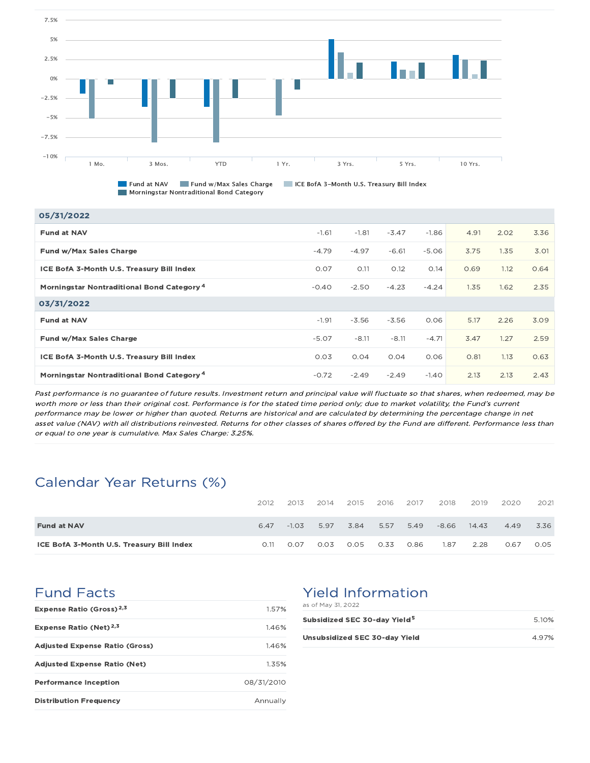

Fund at NAV Fund w/Max Sales Charge ICE BofA 3-Month U.S. Treasury Bill Index **Morningstar Nontraditional Bond Category** 

| 05/31/2022                                            |         |         |         |         |      |      |      |
|-------------------------------------------------------|---------|---------|---------|---------|------|------|------|
| <b>Fund at NAV</b>                                    | $-1.61$ | $-1.81$ | $-3.47$ | $-1.86$ | 4.91 | 2.02 | 3.36 |
| Fund w/Max Sales Charge                               | $-4.79$ | $-4.97$ | $-6.61$ | $-5.06$ | 3.75 | 1.35 | 3.01 |
| ICE BofA 3-Month U.S. Treasury Bill Index             | 0.07    | O.11    | O.12    | O.14    | 0.69 | 1.12 | 0.64 |
| Morningstar Nontraditional Bond Category <sup>4</sup> | $-0.40$ | $-2.50$ | $-4.23$ | $-4.24$ | 1.35 | 1.62 | 2.35 |
| 03/31/2022                                            |         |         |         |         |      |      |      |
| <b>Fund at NAV</b>                                    | $-1.91$ | $-3.56$ | $-3.56$ | 0.06    | 5.17 | 2.26 | 3.09 |
| Fund w/Max Sales Charge                               | $-5.07$ | $-8.11$ | $-8.11$ | $-4.71$ | 3.47 | 1.27 | 2.59 |
| ICE BofA 3-Month U.S. Treasury Bill Index             | 0.03    | 0.04    | 0.04    | 0.06    | 0.81 | 1.13 | 0.63 |
| Morningstar Nontraditional Bond Category <sup>4</sup> | $-0.72$ | $-2.49$ | $-2.49$ | $-1.40$ | 2.13 | 2.13 | 2.43 |

Past performance is no guarantee of future results. Investment return and principal value will fluctuate so that shares, when redeemed, may be worth more or less than their original cost. Performance is for the stated time period only; due to market volatility, the Fund's current performance may be lower or higher than quoted. Returns are historical and are calculated by determining the percentage change in net asset value (NAV) with all distributions reinvested. Returns for other classes of shares offered by the Fund are different. Performance less than or equal to one year is cumulative. Max Sales Charge: 3.25%.

## Calendar Year Returns (%)

|                                           | 2012  | 2013    | 2014 | 2015 | 2016 | 2017 | 2018    | 2019  | 2020 | 2021 |
|-------------------------------------------|-------|---------|------|------|------|------|---------|-------|------|------|
| <b>Fund at NAV</b>                        | 6.47  | $-1.03$ | 5.97 | 3.84 | 5.57 | 5.49 | $-8.66$ | 14.43 | 4.49 | 3.36 |
| ICE BofA 3-Month U.S. Treasury Bill Index | O. 11 | 0.07    | 0.03 | 0.05 | 0.33 | 0.86 | 1.87    | 2.28  | 0.67 | 0.05 |

## Fund Facts

| Expense Ratio (Gross) <sup>2,3</sup>  | 1.57%      |
|---------------------------------------|------------|
| <b>Expense Ratio (Net)</b> $2,3$      | 1.46%      |
| <b>Adjusted Expense Ratio (Gross)</b> | 1.46%      |
| <b>Adjusted Expense Ratio (Net)</b>   | 1.35%      |
| <b>Performance Inception</b>          | 08/31/2010 |
| <b>Distribution Frequency</b>         | Annually   |

### Yield Information as of May 31, 2022

| Subsidized SEC 30-day Yield <sup>5</sup> | 510%  |
|------------------------------------------|-------|
| Unsubsidized SEC 30-day Yield            | 4.97% |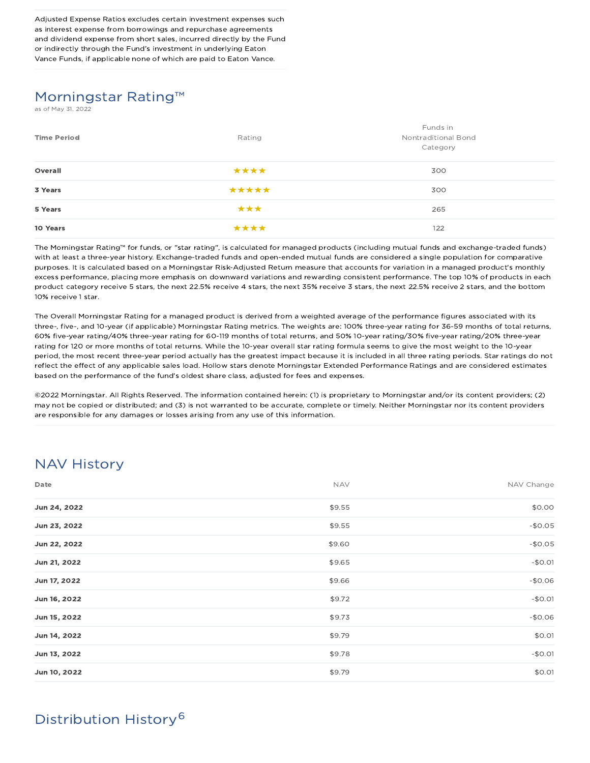Adjusted Expense Ratios excludes certain investment expenses such as interest expense from borrowings and repurchase agreements and dividend expense from short sales, incurred directly by the Fund or indirectly through the Fund's investment in underlying Eaton Vance Funds, if applicable none of which are paid to Eaton Vance.

## Morningstar Rating™

s of May 31, 2022

| <b>Time Period</b> | Rating | Funds in<br>Nontraditional Bond<br>Category |
|--------------------|--------|---------------------------------------------|
| Overall            | ****   | 300                                         |
| 3 Years            | *****  | 300                                         |
| 5 Years            | ***    | 265                                         |
| 10 Years           | ****   | 122                                         |

The Morningstar Rating™ for funds, or "star rating", is calculated for managed products (including mutual funds and exchange-traded funds) with at least a three-year history. Exchange-traded funds and open-ended mutual funds are considered a single population for comparative purposes. It is calculated based on a Morningstar Risk-Adjusted Return measure that accounts for variation in a managed product's monthly excess performance, placing more emphasis on downward variations and rewarding consistent performance. The top 10% of products in each product category receive 5 stars, the next 22.5% receive 4 stars, the next 35% receive 3 stars, the next 22.5% receive 2 stars, and the bottom 10% receive 1 star.

The Overall Morningstar Rating for a managed product is derived from a weighted average of the performance figures associated with its three-, five-, and 10-year (if applicable) Morningstar Rating metrics. The weights are: 100% three-year rating for 36-59 months of total returns, 60% five-year rating/40% three-year rating for 60-119 months of total returns, and 50% 10-year rating/30% five-year rating/20% three-year rating for 120 or more months of total returns. While the 10-year overall star rating formula seems to give the most weight to the 10-year period, the most recent three-year period actually has the greatest impact because it is included in all three rating periods. Star ratings do not reflect the effect of any applicable sales load. Hollow stars denote Morningstar Extended Performance Ratings and are considered estimates based on the performance of the fund's oldest share class, adjusted for fees and expenses.

©2022 Morningstar. All Rights Reserved. The information contained herein: (1) is proprietary to Morningstar and/or its content providers; (2) may not be copied or distributed; and (3) is not warranted to be accurate, complete or timely. Neither Morningstar nor its content providers are responsible for any damages or losses arising from any use of this information.

## NAV History

| Date         | <b>NAV</b> | NAV Change |
|--------------|------------|------------|
| Jun 24, 2022 | \$9.55     | \$0.00     |
| Jun 23, 2022 | \$9.55     | $-$0.05$   |
| Jun 22, 2022 | \$9.60     | $-$0.05$   |
| Jun 21, 2022 | \$9.65     | $-$0.01$   |
| Jun 17, 2022 | \$9.66     | $-$0.06$   |
| Jun 16, 2022 | \$9.72     | $-$0.01$   |
| Jun 15, 2022 | \$9.73     | $-$0.06$   |
| Jun 14, 2022 | \$9.79     | \$0.01     |
| Jun 13, 2022 | \$9.78     | $-$0.01$   |
| Jun 10, 2022 | \$9.79     | \$0.01     |

# Distribution History 6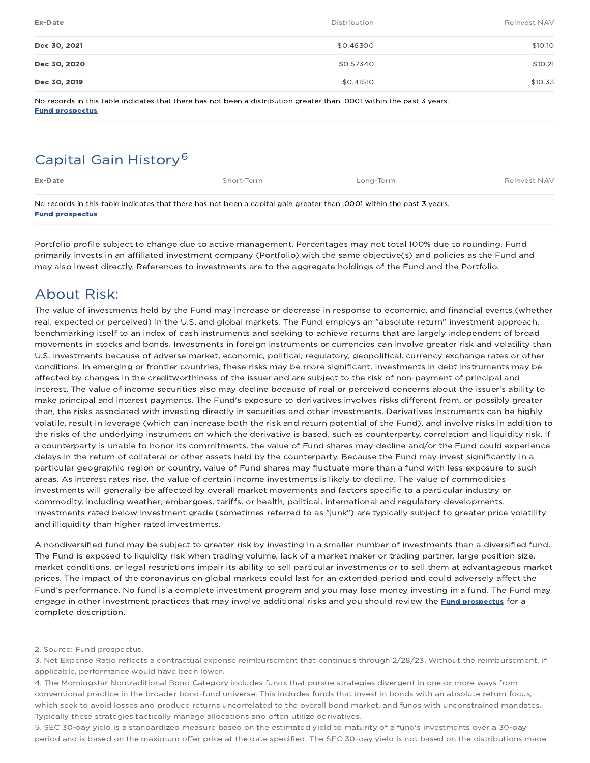| Ex-Date      | Distribution | Reinvest NAV |
|--------------|--------------|--------------|
| Dec 30, 2021 | \$0.46300    | \$10.10      |
| Dec 30, 2020 | \$0.57340    | \$10.21      |
| Dec 30, 2019 | \$0.41510    | \$10.33      |

No records in this table indicates that there has not been a distribution greater than .0001 within the past 3 years. Fund prospectus

## Capital Gain History 6

| Ex-Date                                                                                                               | Short-Term | Long-Term | Reinvest NAV |  |  |  |
|-----------------------------------------------------------------------------------------------------------------------|------------|-----------|--------------|--|--|--|
| No records in this table indicates that there has not been a capital gain greater than .0001 within the past 3 years. |            |           |              |  |  |  |

Fund prospectus

Portfolio profile subject to change due to active management. Percentages may not total 100% due to rounding. Fund primarily invests in an affiliated investment company (Portfolio) with the same objective(s) and policies as the Fund and may also invest directly. References to investments are to the aggregate holdings of the Fund and the Portfolio.

## About Risk:

The value of investments held by the Fund may increase or decrease in response to economic, and financial events (whether real, expected or perceived) in the U.S. and global markets. The Fund employs an "absolute return" investment approach, benchmarking itself to an index of cash instruments and seeking to achieve returns that are largely independent of broad movements in stocks and bonds. Investments in foreign instruments or currencies can involve greater risk and volatility than U.S. investments because of adverse market, economic, political, regulatory, geopolitical, currency exchange rates or other conditions. In emerging or frontier countries, these risks may be more significant. Investments in debt instruments may be affected by changes in the creditworthiness of the issuer and are subject to the risk of non-payment of principal and interest. The value of income securities also may decline because of real or perceived concerns about the issuer's ability to make principal and interest payments. The Fund's exposure to derivatives involves risks different from, or possibly greater than, the risks associated with investing directly in securities and other investments. Derivatives instruments can be highly volatile, result in leverage (which can increase both the risk and return potential of the Fund), and involve risks in addition to the risks of the underlying instrument on which the derivative is based, such as counterparty, correlation and liquidity risk. If a counterparty is unable to honor its commitments, the value of Fund shares may decline and/or the Fund could experience delays in the return of collateral or other assets held by the counterparty. Because the Fund may invest significantly in a particular geographic region or country, value of Fund shares may fluctuate more than a fund with less exposure to such areas. As interest rates rise, the value of certain income investments is likely to decline. The value of commodities investments will generally be affected by overall market movements and factors specific to a particular industry or commodity, including weather, embargoes, tariffs, or health, political, international and regulatory developments. Investments rated below investment grade (sometimes referred to as "junk") are typically subject to greater price volatility and illiquidity than higher rated investments.

A nondiversified fund may be subject to greater risk by investing in a smaller number of investments than a diversified fund. The Fund is exposed to liquidity risk when trading volume, lack of a market maker or trading partner, large position size, market conditions, or legal restrictions impair its ability to sell particular investments or to sell them at advantageous market prices. The impact of the coronavirus on global markets could last for an extended period and could adversely affect the Fund's performance. No fund is a complete investment program and you may lose money investing in a fund. The Fund may engage in other investment practices that may involve additional risks and you should review the Fund prospectus for a complete description.

#### 2. Source: Fund prospectus.

3. Net Expense Ratio reflects a contractual expense reimbursement that continues through 2/28/23. Without the reimbursement, if applicable, performance would have been lower.

4. The Morningstar Nontraditional Bond Category includes funds that pursue strategies divergent in one or more ways from conventional practice in the broader bond-fund universe. This includes funds that invest in bonds with an absolute return focus, which seek to avoid losses and produce returns uncorrelated to the overall bond market, and funds with unconstrained mandates. Typically these strategies tactically manage allocations and often utilize derivatives.

5. SEC 30-day yield is a standardized measure based on the estimated yield to maturity of a fund's investments over a 30-day period and is based on the maximum offer price at the date specified. The SEC 30-day yield is not based on the distributions made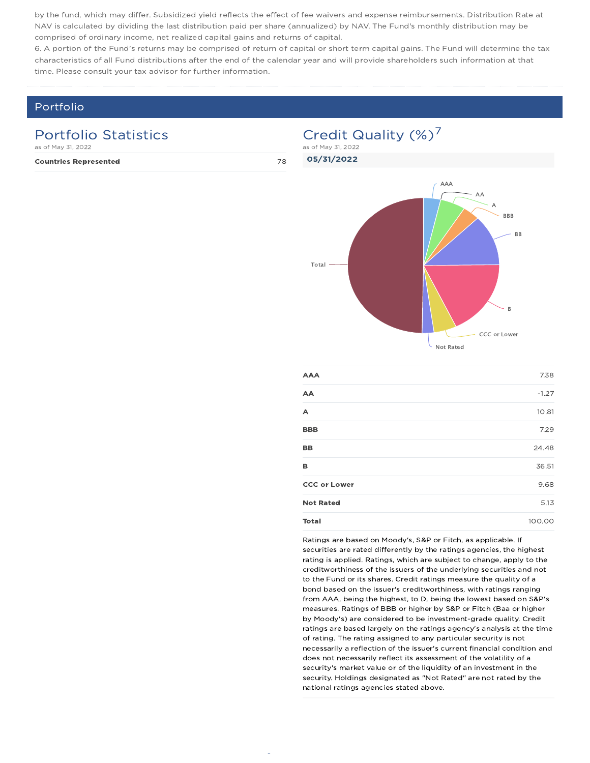by the fund, which may differ. Subsidized yield reflects the effect of fee waivers and expense reimbursements. Distribution Rate at NAV is calculated by dividing the last distribution paid per share (annualized) by NAV. The Fund's monthly distribution may be comprised of ordinary income, net realized capital gains and returns of capital.

6. A portion of the Fund's returns may be comprised of return of capital or short term capital gains. The Fund will determine the tax characteristics of all Fund distributions after the end of the calendar year and will provide shareholders such information at that time. Please consult your tax advisor for further information.

### Portfolio

### Portfolio Statistics

as of May 31, 2022

Countries Represented 78

# Credit Quality (%)<sup>7</sup>



| <b>AAA</b>          | 7.38    |
|---------------------|---------|
| AA                  | $-1.27$ |
| A                   | 10.81   |
| <b>BBB</b>          | 7.29    |
| BB                  | 24.48   |
| в                   | 36.51   |
| <b>CCC or Lower</b> | 9.68    |
| <b>Not Rated</b>    | 5.13    |
| Total               | 100.00  |

Ratings are based on Moody's, S&P or Fitch, as applicable. If securities are rated differently by the ratings agencies, the highest rating is applied. Ratings, which are subject to change, apply to the creditworthiness of the issuers of the underlying securities and not to the Fund or its shares. Credit ratings measure the quality of a bond based on the issuer's creditworthiness, with ratings ranging from AAA, being the highest, to D, being the lowest based on S&P's measures. Ratings of BBB or higher by S&P or Fitch (Baa or higher by Moody's) are considered to be investment-grade quality. Credit ratings are based largely on the ratings agency's analysis at the time of rating. The rating assigned to any particular security is not necessarily a reflection of the issuer's current financial condition and does not necessarily reflect its assessment of the volatility of a security's market value or of the liquidity of an investment in the security. Holdings designated as "Not Rated" are not rated by the national ratings agencies stated above.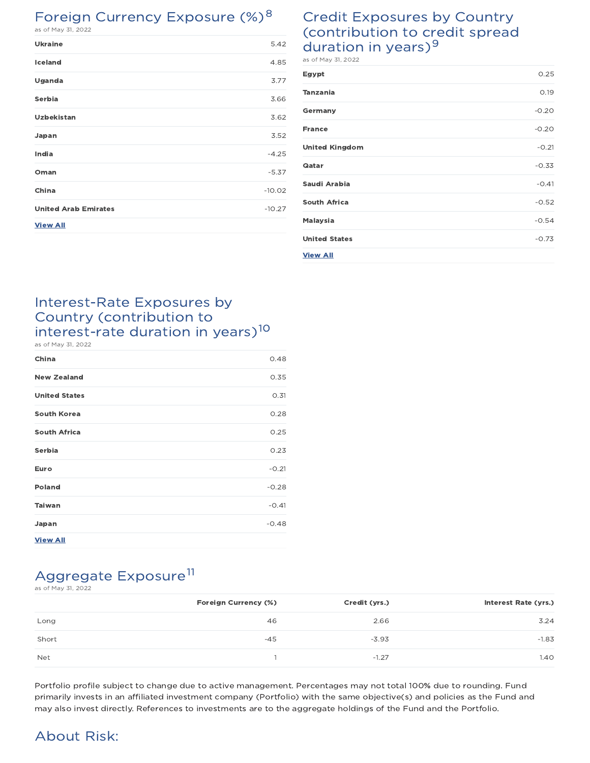## Foreign Currency Exposure (%)<sup>8</sup>

|  |  | as of May 31. 2022 |  |
|--|--|--------------------|--|

| <b>Ukraine</b>              | 5.42     |
|-----------------------------|----------|
| Iceland                     | 4.85     |
| Uganda                      | 3.77     |
| Serbia                      | 3.66     |
| <b>Uzbekistan</b>           | 3.62     |
| Japan                       | 3.52     |
| India                       | $-4.25$  |
| Oman                        | $-5.37$  |
| China                       | $-10.02$ |
| <b>United Arab Emirates</b> | $-10.27$ |
| <b>View All</b>             |          |

### Credit Exposures by Country (contribution to credit spread duration in years) $9$ as of May 31, 2022

| Egypt                 | 0.25    |
|-----------------------|---------|
| <b>Tanzania</b>       | 0.19    |
| Germany               | $-0.20$ |
| <b>France</b>         | $-0.20$ |
| <b>United Kingdom</b> | $-0.21$ |
| <b>Gatar</b>          | $-0.33$ |
| Saudi Arabia          | $-0.41$ |
| <b>South Africa</b>   | $-0.52$ |
| <b>Malaysia</b>       | $-0.54$ |
| <b>United States</b>  | $-0.73$ |
| <b>View All</b>       |         |

### Interest-Rate Exposures by Country (contribution to interest-rate duration in years) 10 as of May 31, 2022

| China                | 0.48    |
|----------------------|---------|
| <b>New Zealand</b>   | 0.35    |
| <b>United States</b> | 0.31    |
| <b>South Korea</b>   | 0.28    |
| <b>South Africa</b>  | 0.25    |
| Serbia               | 0.23    |
| Euro                 | $-0.21$ |
| <b>Poland</b>        | $-0.28$ |
| <b>Taiwan</b>        | $-0.41$ |
| Japan                | $-0.48$ |
| <b>View All</b>      |         |

# Aggregate Exposure<sup>11</sup>

as of May 31, 2022

|       | Foreign Currency (%) | Credit (yrs.) | <b>Interest Rate (yrs.)</b> |
|-------|----------------------|---------------|-----------------------------|
| Long  | 46                   | 2.66          | 3.24                        |
| Short | $-45$                | $-3.93$       | $-1.83$                     |
| Net   |                      | $-1.27$       | 1.40                        |

Portfolio profile subject to change due to active management. Percentages may not total 100% due to rounding. Fund primarily invests in an affiliated investment company (Portfolio) with the same objective(s) and policies as the Fund and may also invest directly. References to investments are to the aggregate holdings of the Fund and the Portfolio.

## About Risk: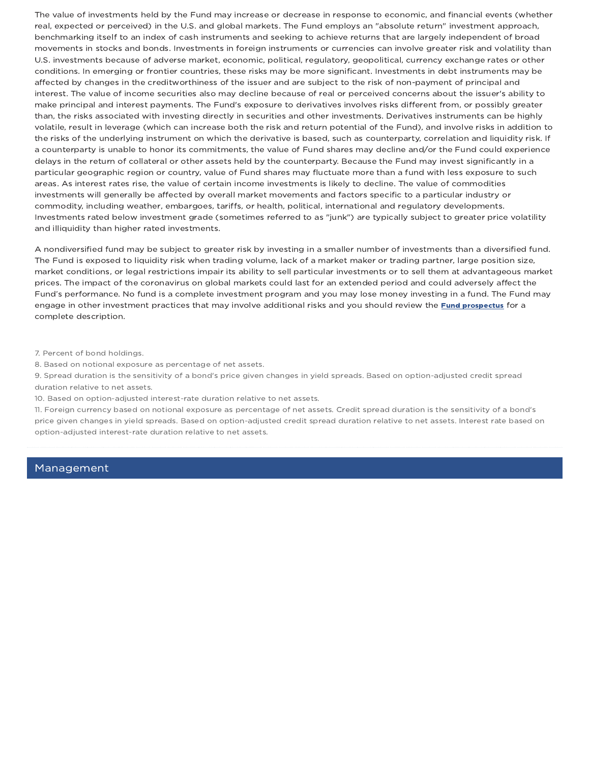The value of investments held by the Fund may increase or decrease in response to economic, and financial events (whether real, expected or perceived) in the U.S. and global markets. The Fund employs an "absolute return" investment approach, benchmarking itself to an index of cash instruments and seeking to achieve returns that are largely independent of broad movements in stocks and bonds. Investments in foreign instruments or currencies can involve greater risk and volatility than U.S. investments because of adverse market, economic, political, regulatory, geopolitical, currency exchange rates or other conditions. In emerging or frontier countries, these risks may be more significant. Investments in debt instruments may be affected by changes in the creditworthiness of the issuer and are subject to the risk of non-payment of principal and interest. The value of income securities also may decline because of real or perceived concerns about the issuer's ability to make principal and interest payments. The Fund's exposure to derivatives involves risks different from, or possibly greater than, the risks associated with investing directly in securities and other investments. Derivatives instruments can be highly volatile, result in leverage (which can increase both the risk and return potential of the Fund), and involve risks in addition to the risks of the underlying instrument on which the derivative is based, such as counterparty, correlation and liquidity risk. If a counterparty is unable to honor its commitments, the value of Fund shares may decline and/or the Fund could experience delays in the return of collateral or other assets held by the counterparty. Because the Fund may invest significantly in a particular geographic region or country, value of Fund shares may fluctuate more than a fund with less exposure to such areas. As interest rates rise, the value of certain income investments is likely to decline. The value of commodities investments will generally be affected by overall market movements and factors specific to a particular industry or commodity, including weather, embargoes, tariffs, or health, political, international and regulatory developments. Investments rated below investment grade (sometimes referred to as "junk") are typically subject to greater price volatility and illiquidity than higher rated investments.

A nondiversified fund may be subject to greater risk by investing in a smaller number of investments than a diversified fund. The Fund is exposed to liquidity risk when trading volume, lack of a market maker or trading partner, large position size, market conditions, or legal restrictions impair its ability to sell particular investments or to sell them at advantageous market prices. The impact of the coronavirus on global markets could last for an extended period and could adversely affect the Fund's performance. No fund is a complete investment program and you may lose money investing in a fund. The Fund may engage in other investment practices that may involve additional risks and you should review the Fund prospectus for a complete description.

7. Percent of bond holdings.

8. Based on notional exposure as percentage of net assets.

9. Spread duration is the sensitivity of a bond's price given changes in yield spreads. Based on option-adjusted credit spread duration relative to net assets.

10. Based on option-adjusted interest-rate duration relative to net assets.

11. Foreign currency based on notional exposure as percentage of net assets. Credit spread duration is the sensitivity of a bond's price given changes in yield spreads. Based on option-adjusted credit spread duration relative to net assets. Interest rate based on option-adjusted interest-rate duration relative to net assets.

### Management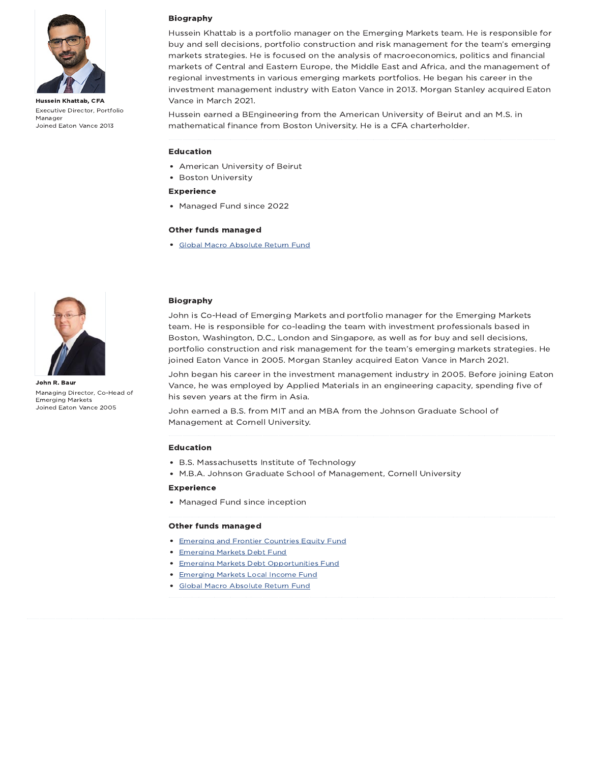

Hussein Khattab, CFA Executive Director, Portfolio Manager Joined Eaton Vance 2013

#### Biography

Hussein Khattab is a portfolio manager on the Emerging Markets team. He is responsible for buy and sell decisions, portfolio construction and risk management for the team's emerging markets strategies. He is focused on the analysis of macroeconomics, politics and financial markets of Central and Eastern Europe, the Middle East and Africa, and the management of regional investments in various emerging markets portfolios. He began his career in the investment management industry with Eaton Vance in 2013. Morgan Stanley acquired Eaton Vance in March 2021.

Hussein earned a BEngineering from the American University of Beirut and an M.S. in mathematical finance from Boston University. He is a CFA charterholder.

#### Education

- American University of Beirut
- Boston University

### Experience

Managed Fund since 2022

#### Other funds managed

Global Macro Absolute Return Fund



John R. Baur Managing Director, Co-Head of Emerging Markets Joined Eaton Vance 2005

#### Biography

John is Co-Head of Emerging Markets and portfolio manager for the Emerging Markets team. He is responsible for co-leading the team with investment professionals based in Boston, Washington, D.C., London and Singapore, as well as for buy and sell decisions, portfolio construction and risk management for the team's emerging markets strategies. He joined Eaton Vance in 2005. Morgan Stanley acquired Eaton Vance in March 2021.

John began his career in the investment management industry in 2005. Before joining Eaton Vance, he was employed by Applied Materials in an engineering capacity, spending five of his seven years at the firm in Asia.

John earned a B.S. from MIT and an MBA from the Johnson Graduate School of Management at Cornell University.

#### Education

- B.S. Massachusetts Institute of Technology
- M.B.A. Johnson Graduate School of Management, Cornell University

#### Experience

• Managed Fund since inception

#### Other funds managed

- **Emerging and Frontier Countries Equity Fund**
- **Emerging Markets Debt Fund**
- **Emerging Markets Debt Opportunities Fund**
- **Emerging Markets Local Income Fund**
- Global Macro Absolute Return Fund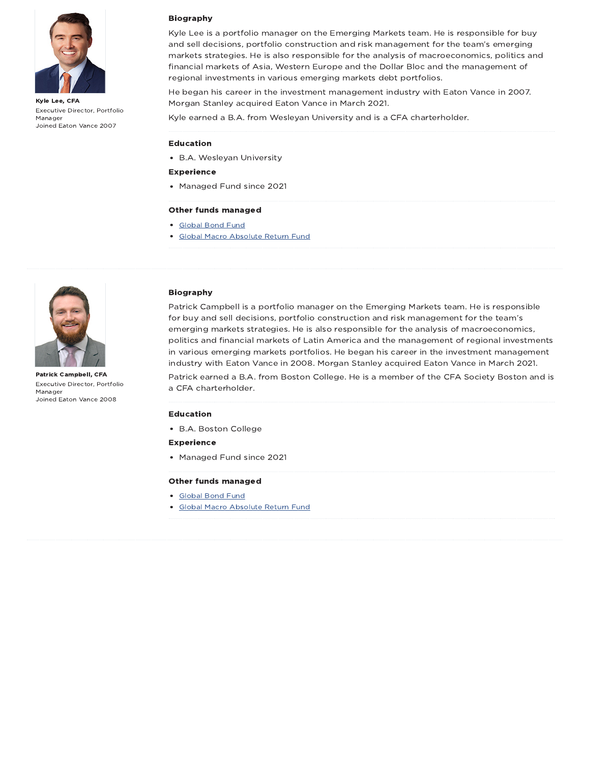

Kyle Lee, CFA Executive Director, Portfolio Manager Joined Eaton Vance 2007

#### Biography

Kyle Lee is a portfolio manager on the Emerging Markets team. He is responsible for buy and sell decisions, portfolio construction and risk management for the team's emerging markets strategies. He is also responsible for the analysis of macroeconomics, politics and financial markets of Asia, Western Europe and the Dollar Bloc and the management of regional investments in various emerging markets debt portfolios.

He began his career in the investment management industry with Eaton Vance in 2007. Morgan Stanley acquired Eaton Vance in March 2021.

Kyle earned a B.A. from Wesleyan University and is a CFA charterholder.

#### Education

- B.A. Wesleyan University
- Experience
- Managed Fund since 2021

#### Other funds managed

- Global Bond Fund
- Global Macro Absolute Return Fund



Patrick Campbell, CFA Executive Director, Portfolio Manager Joined Eaton Vance 2008

#### Biography

Patrick Campbell is a portfolio manager on the Emerging Markets team. He is responsible for buy and sell decisions, portfolio construction and risk management for the team's emerging markets strategies. He is also responsible for the analysis of macroeconomics, politics and financial markets of Latin America and the management of regional investments in various emerging markets portfolios. He began his career in the investment management industry with Eaton Vance in 2008. Morgan Stanley acquired Eaton Vance in March 2021.

Patrick earned a B.A. from Boston College. He is a member of the CFA Society Boston and is a CFA charterholder.

#### Education

B.A. Boston College

#### Experience

• Managed Fund since 2021

#### Other funds managed

- Global Bond Fund
- Global Macro Absolute Return Fund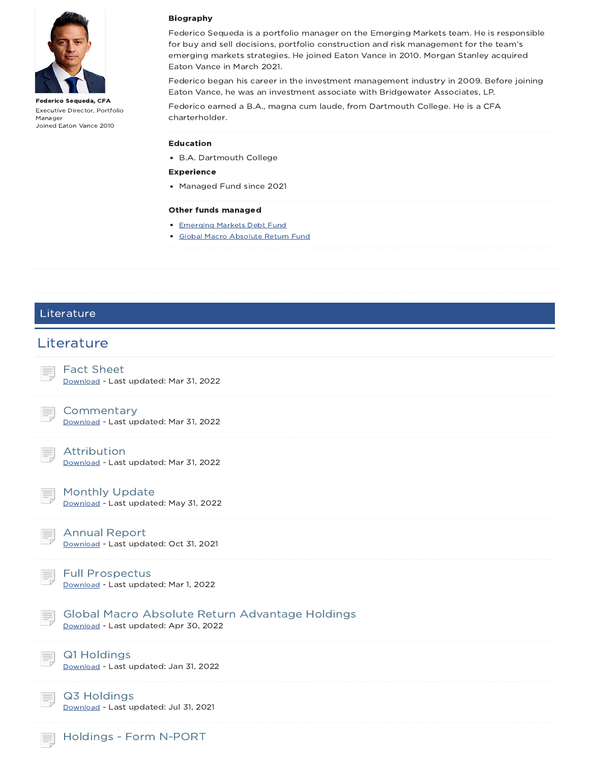

Federico Sequeda, CFA Executive Director, Portfolio Manager Joined Eaton Vance 2010

#### Biography

Federico Sequeda is a portfolio manager on the Emerging Markets team. He is responsible for buy and sell decisions, portfolio construction and risk management for the team's emerging markets strategies. He joined Eaton Vance in 2010. Morgan Stanley acquired Eaton Vance in March 2021.

Federico began his career in the investment management industry in 2009. Before joining Eaton Vance, he was an investment associate with Bridgewater Associates, LP.

Federico earned a B.A., magna cum laude, from Dartmouth College. He is a CFA charterholder.

#### Education

B.A. Dartmouth College

- Experience
- Managed Fund since 2021

#### Other funds managed

- **Emerging Markets Debt Fund**
- Global Macro Absolute Return Fund

### Literature

### **Literature**

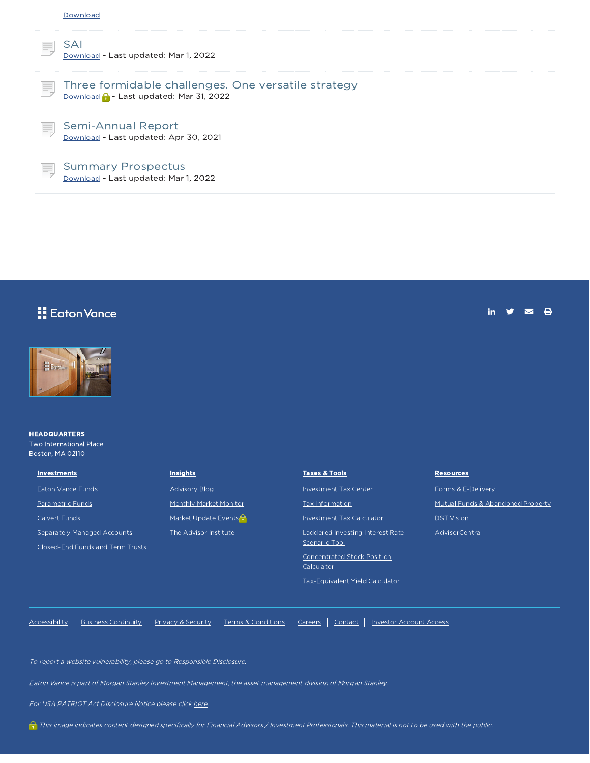| Vownla |
|--------|
|--------|

SAI Download - Last updated: Mar 1, 2022

#### Three formidable challenges. One versatile strategy Download **C** - Last updated: Mar 31, 2022

Semi-Annual Report Download - Last updated: Apr 30, 2021



### Summary Prospectus

Download - Last updated: Mar 1, 2022

## **E**dton Vance

in  $y = 8$ 



#### **HEADQUARTERS** Two International Place Boston, MA 02110

**Investments** Eaton Vance Funds

Parametric Funds

Calvert Funds

Separately Managed Accounts

Closed-End Funds and Term Trusts

| <b>Insights</b>        |
|------------------------|
| <b>Advisory Blog</b>   |
| Monthly Market Monitor |
| Market Update Events   |
| The Advisor Institute  |

| <b>Taxes &amp; Tools</b>                          |
|---------------------------------------------------|
| Investment Tax Center                             |
| Tax Information                                   |
| <b>Investment Tax Calculator</b>                  |
| Laddered Investing Interest Rate<br>Scenario Tool |
| Concentrated Stock Position<br>Calculator         |

Tax-Equivalent Yield Calculator

**Resources** 

Forms & E-Delivery Mutual Funds & Abandoned Property **DST Vision** 

AdvisorCentral

Accessibility | Business Continuity | Privacy & Security | Terms & Conditions | Careers | Contact | Investor Account Access

To report a website vulnerability, please go to Responsible Disclosure.

Eaton Vance is part of Morgan Stanley Investment Management, the asset management division of Morgan Stanley.

For USA PATRIOT Act Disclosure Notice please click here.

This image indicates content designed specifically for Financial Advisors / Investment Professionals. This material is not to be used with the public.